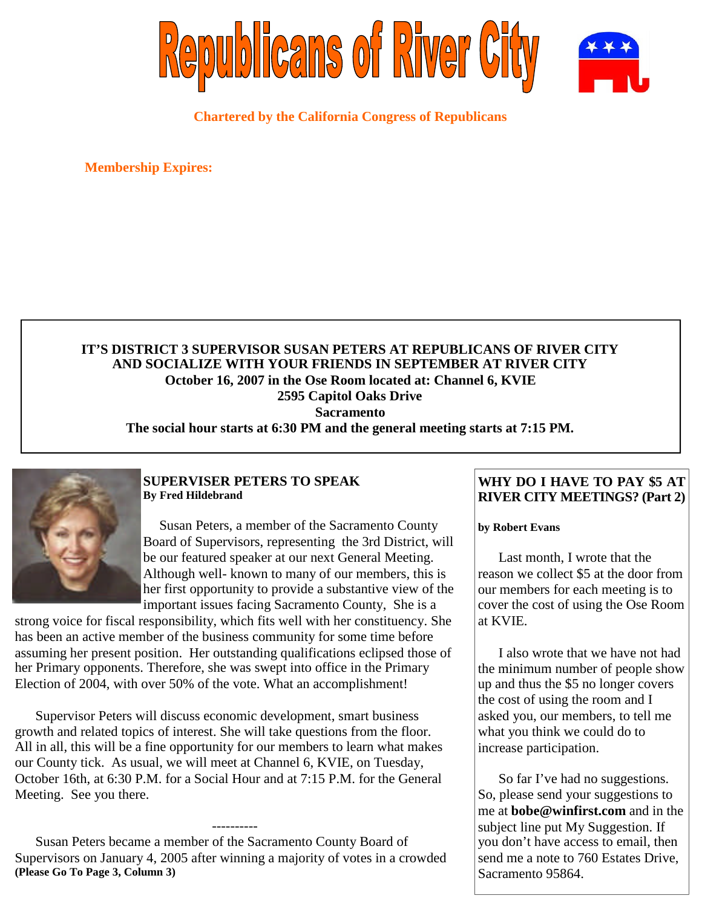

**Chartered by the California Congress of Republicans**

**Membership Expires:**

## **IT'S DISTRICT 3 SUPERVISOR SUSAN PETERS AT REPUBLICANS OF RIVER CITY AND SOCIALIZE WITH YOUR FRIENDS IN SEPTEMBER AT RIVER CITY October 16, 2007 in the Ose Room located at: Channel 6, KVIE 2595 Capitol Oaks Drive Sacramento The social hour starts at 6:30 PM and the general meeting starts at 7:15 PM.**



### **SUPERVISER PETERS TO SPEAK By Fred Hildebrand**

Susan Peters, a member of the Sacramento County Board of Supervisors, representing the 3rd District, will be our featured speaker at our next General Meeting. Although well- known to many of our members, this is her first opportunity to provide a substantive view of the important issues facing Sacramento County, She is a

strong voice for fiscal responsibility, which fits well with her constituency. She has been an active member of the business community for some time before assuming her present position. Her outstanding qualifications eclipsed those of her Primary opponents. Therefore, she was swept into office in the Primary Election of 2004, with over 50% of the vote. What an accomplishment!

Supervisor Peters will discuss economic development, smart business growth and related topics of interest. She will take questions from the floor. All in all, this will be a fine opportunity for our members to learn what makes our County tick. As usual, we will meet at Channel 6, KVIE, on Tuesday, October 16th, at 6:30 P.M. for a Social Hour and at 7:15 P.M. for the General Meeting. See you there.

Susan Peters became a member of the Sacramento County Board of Supervisors on January 4, 2005 after winning a majority of votes in a crowded **(Please Go To Page 3, Column 3)**

----------

## **WHY DO I HAVE TO PAY \$5 AT RIVER CITY MEETINGS? (Part 2)**

#### **by Robert Evans**

Last month, I wrote that the reason we collect \$5 at the door from our members for each meeting is to cover the cost of using the Ose Room at KVIE.

I also wrote that we have not had the minimum number of people show up and thus the \$5 no longer covers the cost of using the room and I asked you, our members, to tell me what you think we could do to increase participation.

So far I've had no suggestions. So, please send your suggestions to me at **bobe@winfirst.com** and in the subject line put My Suggestion. If you don't have access to email, then send me a note to 760 Estates Drive, Sacramento 95864.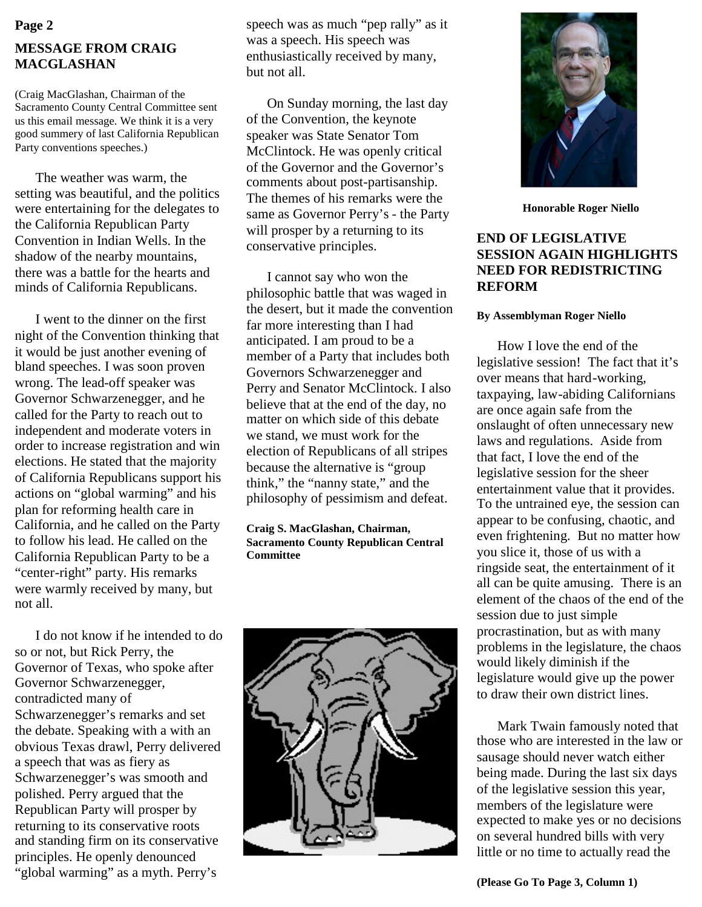# **MESSAGE FROM CRAIG MACGLASHAN Page 2**

(Craig MacGlashan, Chairman of the Sacramento County Central Committee sent us this email message. We think it is a very good summery of last California Republican Party conventions speeches.)

The weather was warm, the setting was beautiful, and the politics were entertaining for the delegates to the California Republican Party Convention in Indian Wells. In the shadow of the nearby mountains, there was a battle for the hearts and minds of California Republicans.

I went to the dinner on the first night of the Convention thinking that it would be just another evening of bland speeches. I was soon proven wrong. The lead-off speaker was Governor Schwarzenegger, and he called for the Party to reach out to independent and moderate voters in order to increase registration and win elections. He stated that the majority of California Republicans support his actions on "global warming" and his plan for reforming health care in California, and he called on the Party to follow his lead. He called on the California Republican Party to be a "center-right" party. His remarks were warmly received by many, but not all.

I do not know if he intended to do so or not, but Rick Perry, the Governor of Texas, who spoke after Governor Schwarzenegger, contradicted many of Schwarzenegger's remarks and set the debate. Speaking with a with an obvious Texas drawl, Perry delivered a speech that was as fiery as Schwarzenegger's was smooth and polished. Perry argued that the Republican Party will prosper by returning to its conservative roots and standing firm on its conservative principles. He openly denounced "global warming" as a myth. Perry's

speech was as much "pep rally" as it was a speech. His speech was enthusiastically received by many, but not all.

On Sunday morning, the last day of the Convention, the keynote speaker was State Senator Tom McClintock. He was openly critical of the Governor and the Governor's comments about post-partisanship. The themes of his remarks were the same as Governor Perry's - the Party will prosper by a returning to its conservative principles.

I cannot say who won the philosophic battle that was waged in the desert, but it made the convention far more interesting than I had anticipated. I am proud to be a member of a Party that includes both Governors Schwarzenegger and Perry and Senator McClintock. I also believe that at the end of the day, no matter on which side of this debate we stand, we must work for the election of Republicans of all stripes because the alternative is "group think," the "nanny state," and the philosophy of pessimism and defeat.

**Craig S. MacGlashan, Chairman, Sacramento County Republican Central Committee**





**Honorable Roger Niello**

## **END OF LEGISLATIVE SESSION AGAIN HIGHLIGHTS NEED FOR REDISTRICTING REFORM**

#### **By Assemblyman Roger Niello**

How I love the end of the legislative session! The fact that it's over means that hard-working, taxpaying, law-abiding Californians are once again safe from the onslaught of often unnecessary new laws and regulations. Aside from that fact, I love the end of the legislative session for the sheer entertainment value that it provides. To the untrained eye, the session can appear to be confusing, chaotic, and even frightening. But no matter how you slice it, those of us with a ringside seat, the entertainment of it all can be quite amusing. There is an element of the chaos of the end of the session due to just simple procrastination, but as with many problems in the legislature, the chaos would likely diminish if the legislature would give up the power to draw their own district lines.

Mark Twain famously noted that those who are interested in the law or sausage should never watch either being made. During the last six days of the legislative session this year, members of the legislature were expected to make yes or no decisions on several hundred bills with very little or no time to actually read the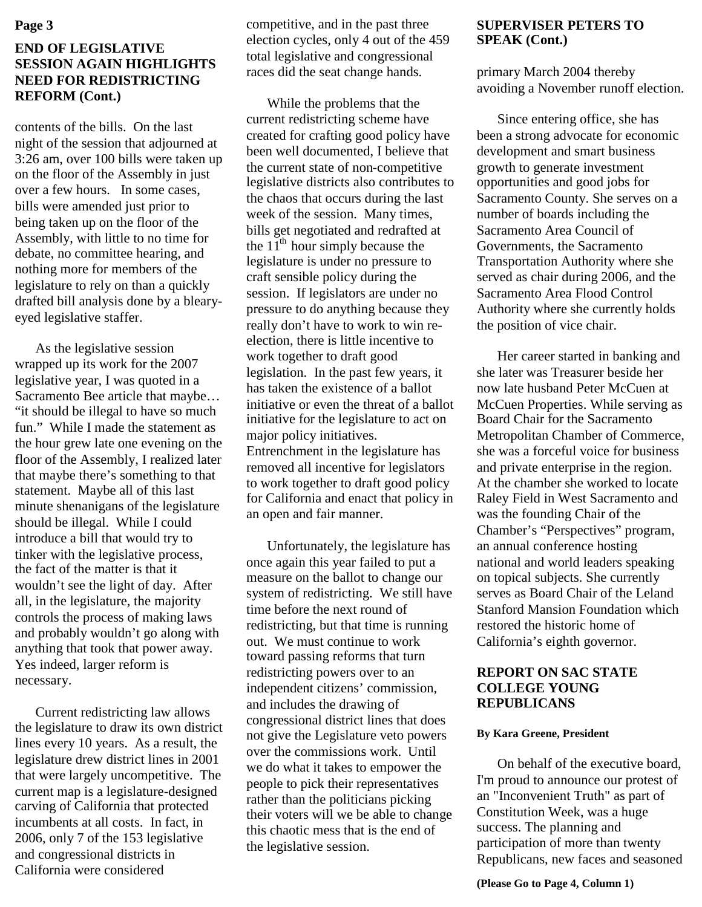# **END OF LEGISLATIVE SESSION AGAIN HIGHLIGHTS NEED FOR REDISTRICTING REFORM (Cont.)**

contents of the bills. On the last night of the session that adjourned at 3:26 am, over 100 bills were taken up on the floor of the Assembly in just over a few hours. In some cases, bills were amended just prior to being taken up on the floor of the Assembly, with little to no time for debate, no committee hearing, and nothing more for members of the legislature to rely on than a quickly drafted bill analysis done by a blearyeyed legislative staffer.

As the legislative session wrapped up its work for the 2007 legislative year, I was quoted in a Sacramento Bee article that maybe… "it should be illegal to have so much fun." While I made the statement as the hour grew late one evening on the floor of the Assembly, I realized later that maybe there's something to that statement. Maybe all of this last minute shenanigans of the legislature should be illegal. While I could introduce a bill that would try to tinker with the legislative process, the fact of the matter is that it wouldn't see the light of day. After all, in the legislature, the majority controls the process of making laws and probably wouldn't go along with anything that took that power away. Yes indeed, larger reform is necessary.

Current redistricting law allows the legislature to draw its own district lines every 10 years. As a result, the legislature drew district lines in 2001 that were largely uncompetitive. The current map is a legislature-designed carving of California that protected incumbents at all costs. In fact, in 2006, only 7 of the 153 legislative and congressional districts in California were considered

competitive, and in the past three election cycles, only 4 out of the 459 total legislative and congressional races did the seat change hands.

While the problems that the current redistricting scheme have created for crafting good policy have been well documented, I believe that the current state of non-competitive legislative districts also contributes to the chaos that occurs during the last week of the session. Many times, bills get negotiated and redrafted at the  $11<sup>th</sup>$  hour simply because the legislature is under no pressure to craft sensible policy during the session. If legislators are under no pressure to do anything because they really don't have to work to win reelection, there is little incentive to work together to draft good legislation. In the past few years, it has taken the existence of a ballot initiative or even the threat of a ballot initiative for the legislature to act on major policy initiatives. Entrenchment in the legislature has removed all incentive for legislators to work together to draft good policy for California and enact that policy in an open and fair manner.

Unfortunately, the legislature has once again this year failed to put a measure on the ballot to change our system of redistricting. We still have time before the next round of redistricting, but that time is running out. We must continue to work toward passing reforms that turn redistricting powers over to an independent citizens' commission, and includes the drawing of congressional district lines that does not give the Legislature veto powers over the commissions work. Until we do what it takes to empower the people to pick their representatives rather than the politicians picking their voters will we be able to change this chaotic mess that is the end of the legislative session.

# **SUPERVISER PETERS TO SPEAK (Cont.)**

primary March 2004 thereby avoiding a November runoff election.

Since entering office, she has been a strong advocate for economic development and smart business growth to generate investment opportunities and good jobs for Sacramento County. She serves on a number of boards including the Sacramento Area Council of Governments, the Sacramento Transportation Authority where she served as chair during 2006, and the Sacramento Area Flood Control Authority where she currently holds the position of vice chair.

Her career started in banking and she later was Treasurer beside her now late husband Peter McCuen at McCuen Properties. While serving as Board Chair for the Sacramento Metropolitan Chamber of Commerce, she was a forceful voice for business and private enterprise in the region. At the chamber she worked to locate Raley Field in West Sacramento and was the founding Chair of the Chamber's "Perspectives" program, an annual conference hosting national and world leaders speaking on topical subjects. She currently serves as Board Chair of the Leland Stanford Mansion Foundation which restored the historic home of California's eighth governor.

### **REPORT ON SAC STATE COLLEGE YOUNG REPUBLICANS**

#### **By Kara Greene, President**

On behalf of the executive board, I'm proud to announce our protest of an "Inconvenient Truth" as part of Constitution Week, was a huge success. The planning and participation of more than twenty Republicans, new faces and seasoned

**(Please Go to Page 4, Column 1)**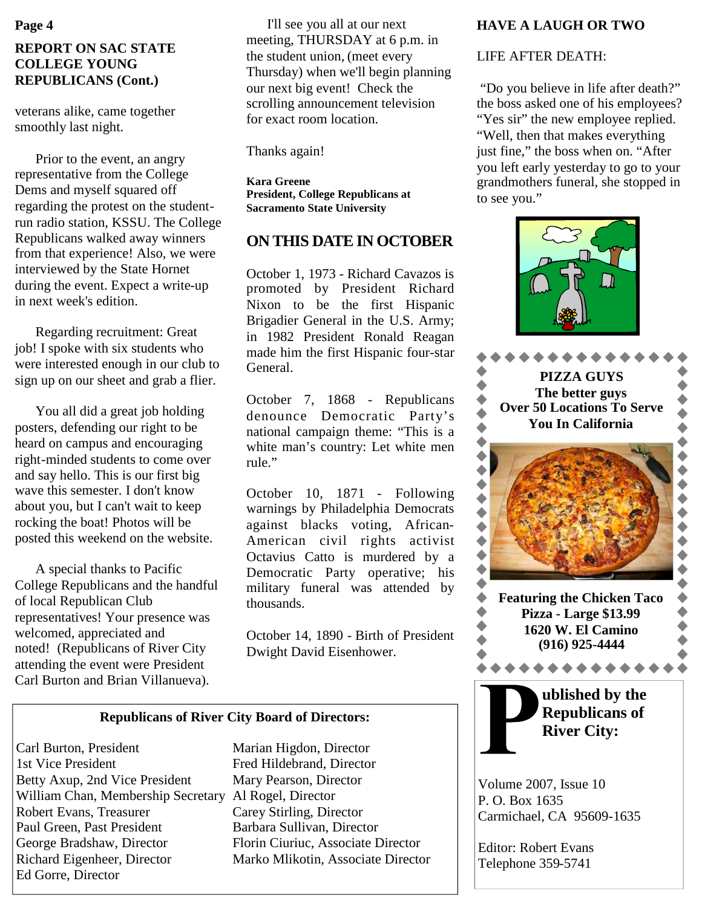# **REPORT ON SAC STATE COLLEGE YOUNG REPUBLICANS (Cont.)**

veterans alike, came together smoothly last night.

Prior to the event, an angry representative from the College Dems and myself squared off regarding the protest on the studentrun radio station, KSSU. The College Republicans walked away winners from that experience! Also, we were interviewed by the State Hornet during the event. Expect a write-up in next week's edition.

Regarding recruitment: Great job! I spoke with six students who were interested enough in our club to sign up on our sheet and grab a flier.

You all did a great job holding posters, defending our right to be heard on campus and encouraging right-minded students to come over and say hello. This is our first big wave this semester. I don't know about you, but I can't wait to keep rocking the boat! Photos will be posted this weekend on the website.

A special thanks to Pacific College Republicans and the handful of local Republican Club representatives! Your presence was welcomed, appreciated and noted! (Republicans of River City attending the event were President Carl Burton and Brian Villanueva).

I'll see you all at our next meeting, THURSDAY at 6 p.m. in the student union, (meet every Thursday) when we'll begin planning our next big event! Check the scrolling announcement television for exact room location.

Thanks again!

**Kara Greene President, College Republicans at Sacramento State University**

# **ON THIS DATE IN OCTOBER**

October 1, 1973 - Richard Cavazos is promoted by President Richard Nixon to be the first Hispanic Brigadier General in the U.S. Army; in 1982 President Ronald Reagan made him the first Hispanic four-star General.

October 7, 1868 - Republicans denounce Democratic Party's national campaign theme: "This is a white man's country: Let white men rule."

October 10, 1871 - Following warnings by Philadelphia Democrats against blacks voting, African-American civil rights activist Octavius Catto is murdered by a Democratic Party operative; his military funeral was attended by thousands.

October 14, 1890 - Birth of President Dwight David Eisenhower.

# **Republicans of River City Board of Directors:**

Carl Burton, President Marian Higdon, Director 1st Vice President Fred Hildebrand, Director Betty Axup, 2nd Vice President Mary Pearson, Director William Chan, Membership Secretary Al Rogel, Director Robert Evans, Treasurer Carey Stirling, Director Paul Green, Past President Barbara Sullivan, Director George Bradshaw, Director Florin Ciuriuc, Associate Director Richard Eigenheer, Director Marko Mlikotin, Associate Director Ed Gorre, Director

# **HAVE A LAUGH OR TWO**

# LIFE AFTER DEATH:

"Do you believe in life after death?" the boss asked one of his employees? "Yes sir" the new employee replied. "Well, then that makes everything just fine," the boss when on. "After you left early yesterday to go to your grandmothers funeral, she stopped in to see you."





Volume 2007, Issue 10 P. O. Box 1635 Carmichael, CA 95609-1635

Editor: Robert Evans Telephone 359-5741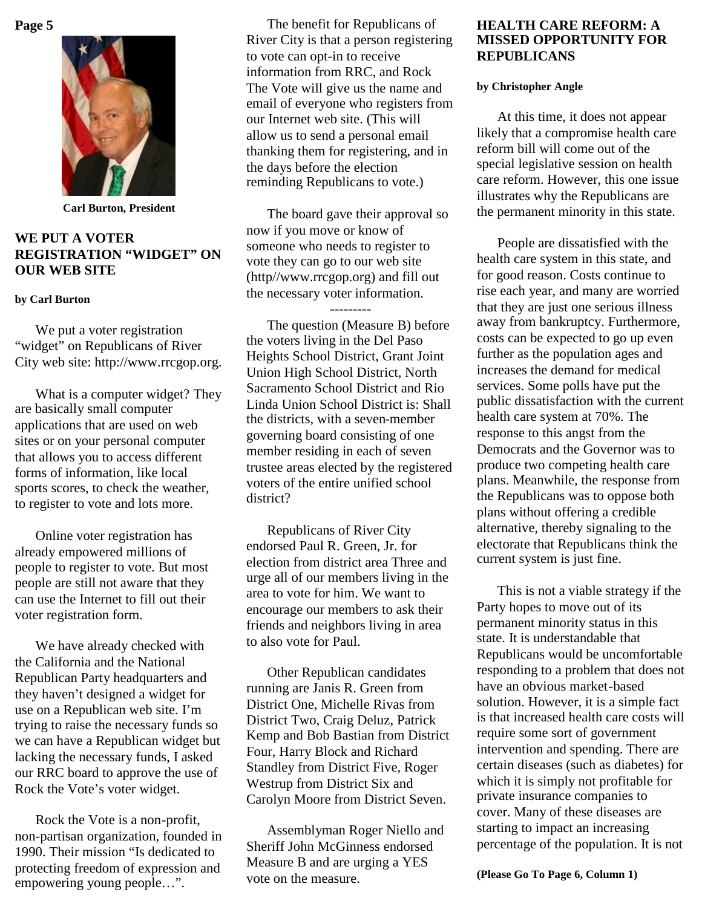

**Carl Burton, President**

## **WE PUT A VOTER REGISTRATION "WIDGET" ON OUR WEB SITE**

#### **by Carl Burton**

We put a voter registration "widget" on Republicans of River City web site: http://www.rrcgop.org.

What is a computer widget? They are basically small computer applications that are used on web sites or on your personal computer that allows you to access different forms of information, like local sports scores, to check the weather, to register to vote and lots more.

Online voter registration has already empowered millions of people to register to vote. But most people are still not aware that they can use the Internet to fill out their voter registration form.

We have already checked with the California and the National Republican Party headquarters and they haven't designed a widget for use on a Republican web site. I'm trying to raise the necessary funds so we can have a Republican widget but lacking the necessary funds, I asked our RRC board to approve the use of Rock the Vote's voter widget.

Rock the Vote is a non-profit, non-partisan organization, founded in 1990. Their mission "Is dedicated to protecting freedom of expression and empowering young people…".

The benefit for Republicans of River City is that a person registering to vote can opt-in to receive information from RRC, and Rock The Vote will give us the name and email of everyone who registers from our Internet web site. (This will allow us to send a personal email thanking them for registering, and in the days before the election reminding Republicans to vote.)

The board gave their approval so now if you move or know of someone who needs to register to vote they can go to our web site (http//www.rrcgop.org) and fill out the necessary voter information.

--------- The question (Measure B) before the voters living in the Del Paso Heights School District, Grant Joint Union High School District, North Sacramento School District and Rio Linda Union School District is: Shall the districts, with a seven-member governing board consisting of one member residing in each of seven trustee areas elected by the registered voters of the entire unified school district?

Republicans of River City endorsed Paul R. Green, Jr. for election from district area Three and urge all of our members living in the area to vote for him. We want to encourage our members to ask their friends and neighbors living in area to also vote for Paul.

Other Republican candidates running are Janis R. Green from District One, Michelle Rivas from District Two, Craig Deluz, Patrick Kemp and Bob Bastian from District Four, Harry Block and Richard Standley from District Five, Roger Westrup from District Six and Carolyn Moore from District Seven.

Assemblyman Roger Niello and Sheriff John McGinness endorsed Measure B and are urging a YES vote on the measure.

### **HEALTH CARE REFORM: A MISSED OPPORTUNITY FOR REPUBLICANS**

#### **by Christopher Angle**

At this time, it does not appear likely that a compromise health care reform bill will come out of the special legislative session on health care reform. However, this one issue illustrates why the Republicans are the permanent minority in this state.

People are dissatisfied with the health care system in this state, and for good reason. Costs continue to rise each year, and many are worried that they are just one serious illness away from bankruptcy. Furthermore, costs can be expected to go up even further as the population ages and increases the demand for medical services. Some polls have put the public dissatisfaction with the current health care system at 70%. The response to this angst from the Democrats and the Governor was to produce two competing health care plans. Meanwhile, the response from the Republicans was to oppose both plans without offering a credible alternative, thereby signaling to the electorate that Republicans think the current system is just fine.

This is not a viable strategy if the Party hopes to move out of its permanent minority status in this state. It is understandable that Republicans would be uncomfortable responding to a problem that does not have an obvious market-based solution. However, it is a simple fact is that increased health care costs will require some sort of government intervention and spending. There are certain diseases (such as diabetes) for which it is simply not profitable for private insurance companies to cover. Many of these diseases are starting to impact an increasing percentage of the population. It is not

**(Please Go To Page 6, Column 1)**